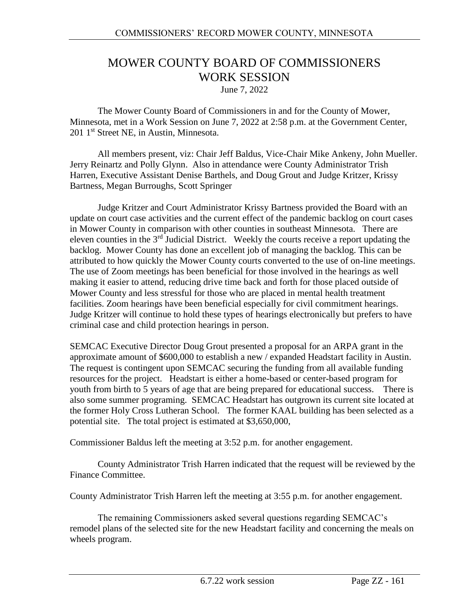## MOWER COUNTY BOARD OF COMMISSIONERS WORK SESSION

June 7, 2022

The Mower County Board of Commissioners in and for the County of Mower, Minnesota, met in a Work Session on June 7, 2022 at 2:58 p.m. at the Government Center, 201 1st Street NE, in Austin, Minnesota.

All members present, viz: Chair Jeff Baldus, Vice-Chair Mike Ankeny, John Mueller. Jerry Reinartz and Polly Glynn. Also in attendance were County Administrator Trish Harren, Executive Assistant Denise Barthels, and Doug Grout and Judge Kritzer, Krissy Bartness, Megan Burroughs, Scott Springer

Judge Kritzer and Court Administrator Krissy Bartness provided the Board with an update on court case activities and the current effect of the pandemic backlog on court cases in Mower County in comparison with other counties in southeast Minnesota. There are eleven counties in the 3<sup>rd</sup> Judicial District. Weekly the courts receive a report updating the backlog. Mower County has done an excellent job of managing the backlog. This can be attributed to how quickly the Mower County courts converted to the use of on-line meetings. The use of Zoom meetings has been beneficial for those involved in the hearings as well making it easier to attend, reducing drive time back and forth for those placed outside of Mower County and less stressful for those who are placed in mental health treatment facilities. Zoom hearings have been beneficial especially for civil commitment hearings. Judge Kritzer will continue to hold these types of hearings electronically but prefers to have criminal case and child protection hearings in person.

SEMCAC Executive Director Doug Grout presented a proposal for an ARPA grant in the approximate amount of \$600,000 to establish a new / expanded Headstart facility in Austin. The request is contingent upon SEMCAC securing the funding from all available funding resources for the project. Headstart is either a home-based or center-based program for youth from birth to 5 years of age that are being prepared for educational success. There is also some summer programing. SEMCAC Headstart has outgrown its current site located at the former Holy Cross Lutheran School. The former KAAL building has been selected as a potential site. The total project is estimated at \$3,650,000,

Commissioner Baldus left the meeting at 3:52 p.m. for another engagement.

County Administrator Trish Harren indicated that the request will be reviewed by the Finance Committee.

County Administrator Trish Harren left the meeting at 3:55 p.m. for another engagement.

The remaining Commissioners asked several questions regarding SEMCAC's remodel plans of the selected site for the new Headstart facility and concerning the meals on wheels program.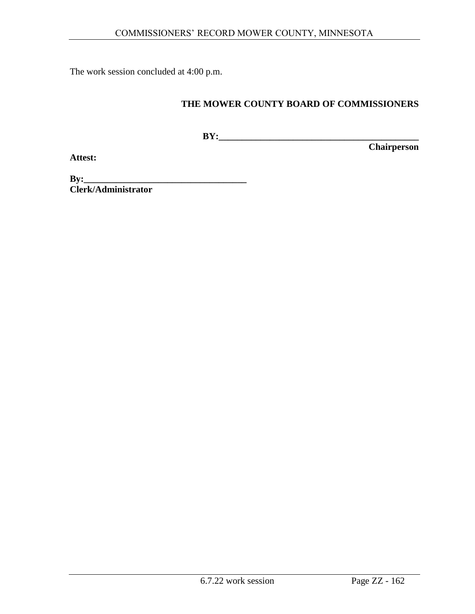The work session concluded at 4:00 p.m.

## **THE MOWER COUNTY BOARD OF COMMISSIONERS**

**BY:\_\_\_\_\_\_\_\_\_\_\_\_\_\_\_\_\_\_\_\_\_\_\_\_\_\_\_\_\_\_\_\_\_\_\_\_\_\_\_\_\_\_\_**

**Attest:**

**Chairperson**

**By:\_\_\_\_\_\_\_\_\_\_\_\_\_\_\_\_\_\_\_\_\_\_\_\_\_\_\_\_\_\_\_\_\_\_\_ Clerk/Administrator**